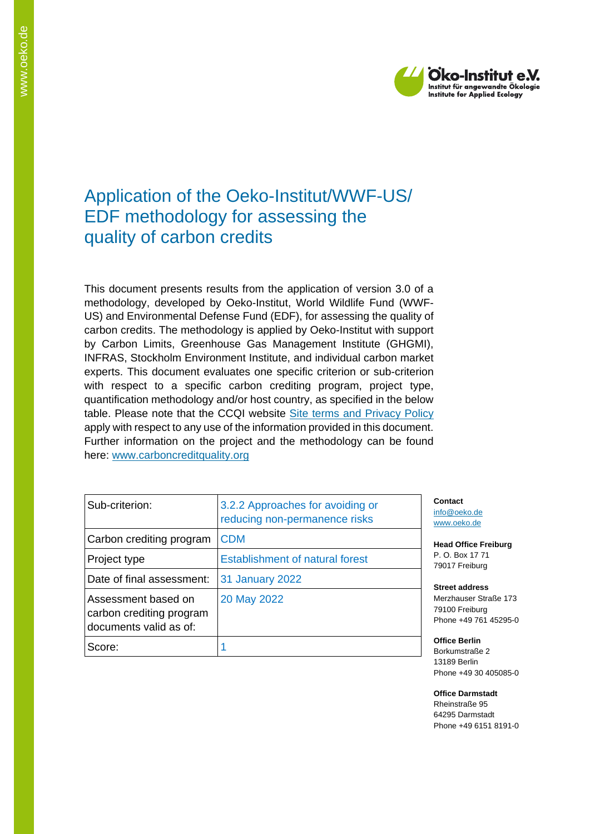

# Application of the Oeko-Institut/WWF-US/ EDF methodology for assessing the quality of carbon credits

This document presents results from the application of version 3.0 of a methodology, developed by Oeko-Institut, World Wildlife Fund (WWF-US) and Environmental Defense Fund (EDF), for assessing the quality of carbon credits. The methodology is applied by Oeko-Institut with support by Carbon Limits, Greenhouse Gas Management Institute (GHGMI), INFRAS, Stockholm Environment Institute, and individual carbon market experts. This document evaluates one specific criterion or sub-criterion with respect to a specific carbon crediting program, project type, quantification methodology and/or host country, as specified in the below table. Please note that the CCQI website [Site terms and Privacy Policy](https://carboncreditquality.org/terms.html) apply with respect to any use of the information provided in this document. Further information on the project and the methodology can be found here: [www.carboncreditquality.org](http://www.carboncreditquality.org/)

| Sub-criterion:                                                            | 3.2.2 Approaches for avoiding or<br>reducing non-permanence risks |
|---------------------------------------------------------------------------|-------------------------------------------------------------------|
| Carbon crediting program                                                  | <b>CDM</b>                                                        |
| Project type                                                              | <b>Establishment of natural forest</b>                            |
| Date of final assessment:                                                 | <b>31 January 2022</b>                                            |
| Assessment based on<br>carbon crediting program<br>documents valid as of: | 20 May 2022                                                       |
| Score:                                                                    |                                                                   |

**Contact** [info@oeko.de](mailto:info@oeko.de) [www.oeko.de](http://www.oeko.de/)

**Head Office Freiburg** P. O. Box 17 71 79017 Freiburg

**Street address** Merzhauser Straße 173 79100 Freiburg Phone +49 761 45295-0

**Office Berlin** Borkumstraße 2 13189 Berlin Phone +49 30 405085-0

**Office Darmstadt** Rheinstraße 95 64295 Darmstadt Phone +49 6151 8191-0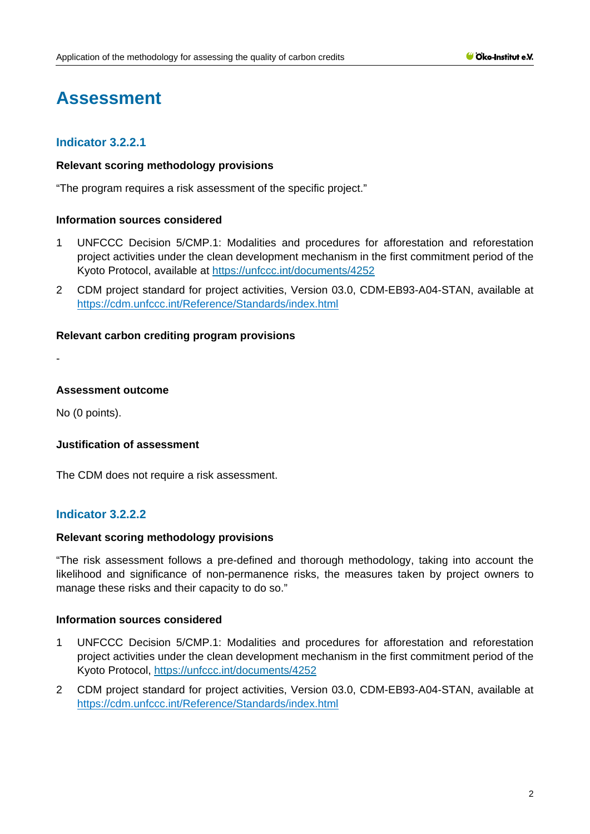# **Assessment**

# **Indicator 3.2.2.1**

# **Relevant scoring methodology provisions**

"The program requires a risk assessment of the specific project."

# **Information sources considered**

- 1 UNFCCC Decision 5/CMP.1: Modalities and procedures for afforestation and reforestation project activities under the clean development mechanism in the first commitment period of the Kyoto Protocol, available at<https://unfccc.int/documents/4252>
- 2 CDM project standard for project activities, Version 03.0, CDM-EB93-A04-STAN, available at <https://cdm.unfccc.int/Reference/Standards/index.html>

# **Relevant carbon crediting program provisions**

-

#### **Assessment outcome**

No (0 points).

# **Justification of assessment**

The CDM does not require a risk assessment.

# **Indicator 3.2.2.2**

# **Relevant scoring methodology provisions**

"The risk assessment follows a pre-defined and thorough methodology, taking into account the likelihood and significance of non-permanence risks, the measures taken by project owners to manage these risks and their capacity to do so."

#### **Information sources considered**

- 1 UNFCCC Decision 5/CMP.1: Modalities and procedures for afforestation and reforestation project activities under the clean development mechanism in the first commitment period of the Kyoto Protocol,<https://unfccc.int/documents/4252>
- 2 CDM project standard for project activities, Version 03.0, CDM-EB93-A04-STAN, available at <https://cdm.unfccc.int/Reference/Standards/index.html>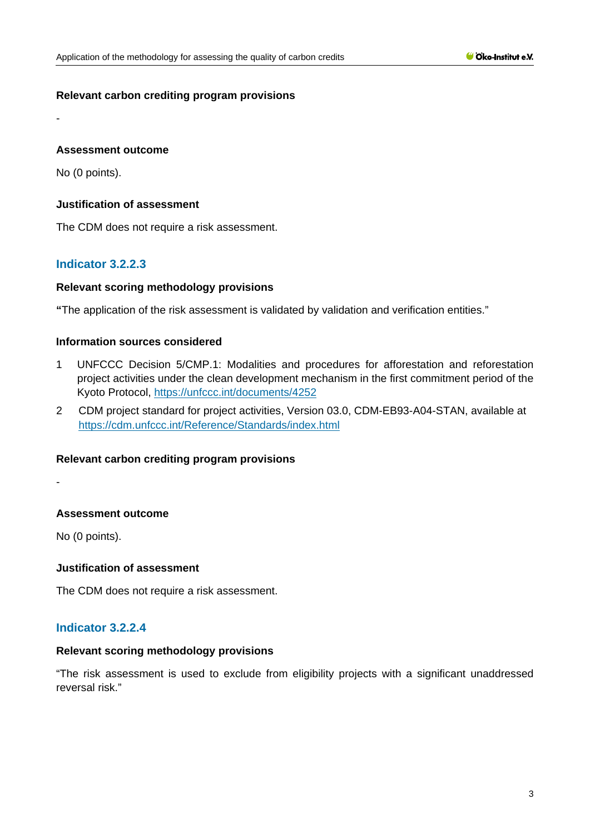# **Relevant carbon crediting program provisions**

# **Assessment outcome**

No (0 points).

-

# **Justification of assessment**

The CDM does not require a risk assessment.

# **Indicator 3.2.2.3**

# **Relevant scoring methodology provisions**

**"**The application of the risk assessment is validated by validation and verification entities."

# **Information sources considered**

- 1 UNFCCC Decision 5/CMP.1: Modalities and procedures for afforestation and reforestation project activities under the clean development mechanism in the first commitment period of the Kyoto Protocol,<https://unfccc.int/documents/4252>
- 2 CDM project standard for project activities, Version 03.0, CDM-EB93-A04-STAN, available at <https://cdm.unfccc.int/Reference/Standards/index.html>

#### **Relevant carbon crediting program provisions**

-

# **Assessment outcome**

No (0 points).

# **Justification of assessment**

The CDM does not require a risk assessment.

# **Indicator 3.2.2.4**

# **Relevant scoring methodology provisions**

"The risk assessment is used to exclude from eligibility projects with a significant unaddressed reversal risk."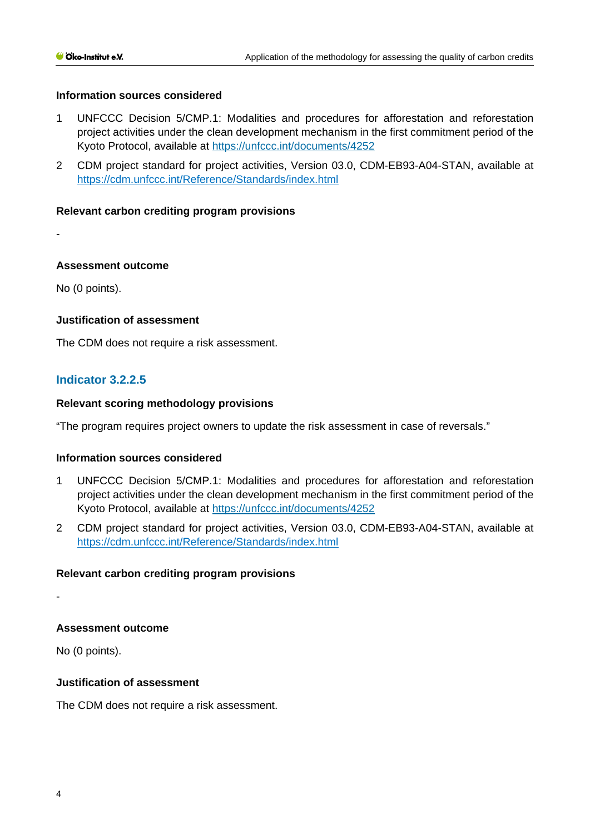# **Information sources considered**

- 1 UNFCCC Decision 5/CMP.1: Modalities and procedures for afforestation and reforestation project activities under the clean development mechanism in the first commitment period of the Kyoto Protocol, available at<https://unfccc.int/documents/4252>
- 2 CDM project standard for project activities, Version 03.0, CDM-EB93-A04-STAN, available at <https://cdm.unfccc.int/Reference/Standards/index.html>

# **Relevant carbon crediting program provisions**

-

#### **Assessment outcome**

No (0 points).

# **Justification of assessment**

The CDM does not require a risk assessment.

# **Indicator 3.2.2.5**

# **Relevant scoring methodology provisions**

"The program requires project owners to update the risk assessment in case of reversals."

#### **Information sources considered**

- 1 UNFCCC Decision 5/CMP.1: Modalities and procedures for afforestation and reforestation project activities under the clean development mechanism in the first commitment period of the Kyoto Protocol, available at<https://unfccc.int/documents/4252>
- 2 CDM project standard for project activities, Version 03.0, CDM-EB93-A04-STAN, available at <https://cdm.unfccc.int/Reference/Standards/index.html>

# **Relevant carbon crediting program provisions**

-

# **Assessment outcome**

No (0 points).

#### **Justification of assessment**

The CDM does not require a risk assessment.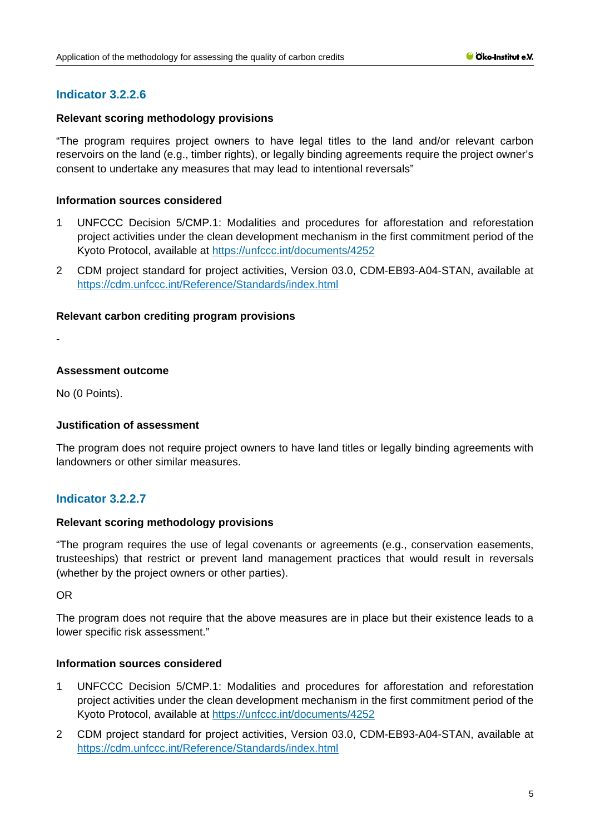# **Indicator 3.2.2.6**

# **Relevant scoring methodology provisions**

"The program requires project owners to have legal titles to the land and/or relevant carbon reservoirs on the land (e.g., timber rights), or legally binding agreements require the project owner's consent to undertake any measures that may lead to intentional reversals"

# **Information sources considered**

- 1 UNFCCC Decision 5/CMP.1: Modalities and procedures for afforestation and reforestation project activities under the clean development mechanism in the first commitment period of the Kyoto Protocol, available at<https://unfccc.int/documents/4252>
- 2 CDM project standard for project activities, Version 03.0, CDM-EB93-A04-STAN, available at <https://cdm.unfccc.int/Reference/Standards/index.html>

# **Relevant carbon crediting program provisions**

-

# **Assessment outcome**

No (0 Points).

# **Justification of assessment**

The program does not require project owners to have land titles or legally binding agreements with landowners or other similar measures.

# **Indicator 3.2.2.7**

#### **Relevant scoring methodology provisions**

"The program requires the use of legal covenants or agreements (e.g., conservation easements, trusteeships) that restrict or prevent land management practices that would result in reversals (whether by the project owners or other parties).

OR

The program does not require that the above measures are in place but their existence leads to a lower specific risk assessment."

#### **Information sources considered**

- 1 UNFCCC Decision 5/CMP.1: Modalities and procedures for afforestation and reforestation project activities under the clean development mechanism in the first commitment period of the Kyoto Protocol, available at<https://unfccc.int/documents/4252>
- 2 CDM project standard for project activities, Version 03.0, CDM-EB93-A04-STAN, available at <https://cdm.unfccc.int/Reference/Standards/index.html>